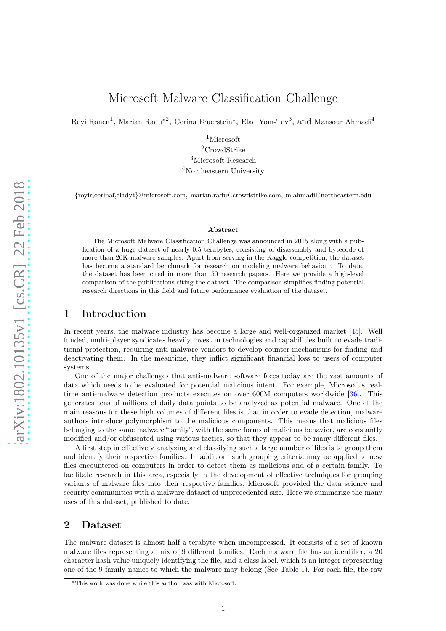Royi Ronen<sup>1</sup>, Marian Radu<sup>\*2</sup>, Corina Feuerstein<sup>1</sup>, Elad Yom-Tov<sup>3</sup>, and Mansour Ahmadi<sup>4</sup>

 $1$ Microsoft <sup>2</sup>CrowdStrike <sup>3</sup>Microsoft Research <sup>4</sup>Northeastern University

{royir,corinaf,eladyt}@microsoft.com, marian.radu@crowdstrike.com, m.ahmadi@northeastern.edu

#### Abstract

The Microsoft Malware Classification Challenge was announced in 2015 along with a publication of a huge dataset of nearly 0.5 terabytes, consisting of disassembly and bytecode of more than 20K malware samples. Apart from serving in the Kaggle competition, the dataset has become a standard benchmark for research on modeling malware behaviour. To date, the dataset has been cited in more than 50 research papers. Here we provide a high-level comparison of the publications citing the dataset. The comparison simplifies finding potential research directions in this field and future performance evaluation of the dataset.

### 1 Introduction

In recent years, the malware industry has become a large and well-organized market [\[45\]](#page-5-0). Well funded, multi-player syndicates heavily invest in technologies and capabilities built to evade traditional protection, requiring anti-malware vendors to develop counter-mechanisms for finding and deactivating them. In the meantime, they inflict significant financial loss to users of computer systems.

One of the major challenges that anti-malware software faces today are the vast amounts of data which needs to be evaluated for potential malicious intent. For example, Microsoft's realtime anti-malware detection products executes on over 600M computers worldwide [\[36\]](#page-5-1). This generates tens of millions of daily data points to be analyzed as potential malware. One of the main reasons for these high volumes of different files is that in order to evade detection, malware authors introduce polymorphism to the malicious components. This means that malicious files belonging to the same malware "family", with the same forms of malicious behavior, are constantly modified and/or obfuscated using various tactics, so that they appear to be many different files.

A first step in effectively analyzing and classifying such a large number of files is to group them and identify their respective families. In addition, such grouping criteria may be applied to new files encountered on computers in order to detect them as malicious and of a certain family. To facilitate research in this area, especially in the development of effective techniques for grouping variants of malware files into their respective families, Microsoft provided the data science and security communities with a malware dataset of unprecedented size. Here we summarize the many uses of this dataset, published to date.

## 2 Dataset

The malware dataset is almost half a terabyte when uncompressed. It consists of a set of known malware files representing a mix of 9 different families. Each malware file has an identifier, a 20 character hash value uniquely identifying the file, and a class label, which is an integer representing one of the 9 family names to which the malware may belong (See Table [1\)](#page-1-0). For each file, the raw

<sup>∗</sup>This work was done while this author was with Microsoft.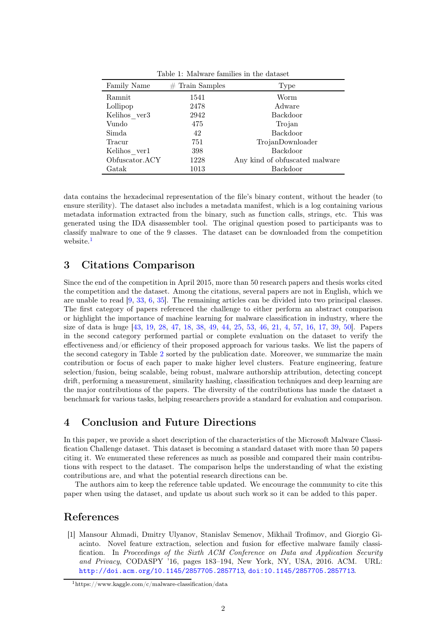| Family Name    | $#$ Train Samples | Type                           |
|----------------|-------------------|--------------------------------|
| Ramnit         | 1541              | Worm                           |
| Lollipop       | 2478              | Adware                         |
| Kelihos ver3   | 2942              | Backdoor                       |
| Vundo          | 475               | Trojan                         |
| Simda          | 42                | Backdoor                       |
| Tracur         | 751               | TrojanDownloader               |
| Kelihos ver1   | 398               | Backdoor                       |
| Obfuscator.ACY | 1228              | Any kind of obfuscated malware |
| Gatak          | 1013              | Backdoor                       |

<span id="page-1-0"></span>Table 1: Malware families in the dataset

data contains the hexadecimal representation of the file's binary content, without the header (to ensure sterility). The dataset also includes a metadata manifest, which is a log containing various metadata information extracted from the binary, such as function calls, strings, etc. This was generated using the IDA disassembler tool. The original question posed to participants was to classify malware to one of the 9 classes. The dataset can be downloaded from the competition website.<sup>[1](#page-1-1)</sup>

# 3 Citations Comparison

Since the end of the competition in April 2015, more than 50 research papers and thesis works cited the competition and the dataset. Among the citations, several papers are not in English, which we are unable to read [\[9,](#page-3-0) [33,](#page-5-2) [6,](#page-3-1) [35\]](#page-5-3). The remaining articles can be divided into two principal classes. The first category of papers referenced the challenge to either perform an abstract comparison or highlight the importance of machine learning for malware classification in industry, where the size of data is huge [\[43,](#page-5-4) 19, [28,](#page-4-0) 47, 18, [38,](#page-5-5) [49,](#page-6-0) [44,](#page-5-6) 25, 53, [46,](#page-5-7) [21,](#page-4-1) 4, [57,](#page-6-1) [16,](#page-3-2) [17,](#page-4-2) [39,](#page-5-8) 50]. Papers in the second category performed partial or complete evaluation on the dataset to verify the effectiveness and/or efficiency of their proposed approach for various tasks. We list the papers of the second category in Table [2](#page-2-0) sorted by the publication date. Moreover, we summarize the main contribution or focus of each paper to make higher level clusters. Feature engineering, feature selection/fusion, being scalable, being robust, malware authorship attribution, detecting concept drift, performing a measurement, similarity hashing, classification techniques and deep learning are the major contributions of the papers. The diversity of the contributions has made the dataset a benchmark for various tasks, helping researchers provide a standard for evaluation and comparison.

# 4 Conclusion and Future Directions

In this paper, we provide a short description of the characteristics of the Microsoft Malware Classification Challenge dataset. This dataset is becoming a standard dataset with more than 50 papers citing it. We enumerated these references as much as possible and compared their main contributions with respect to the dataset. The comparison helps the understanding of what the existing contributions are, and what the potential research directions can be.

The authors aim to keep the reference table updated. We encourage the community to cite this paper when using the dataset, and update us about such work so it can be added to this paper.

### <span id="page-1-2"></span>References

[1] Mansour Ahmadi, Dmitry Ulyanov, Stanislav Semenov, Mikhail Trofimov, and Giorgio Giacinto. Novel feature extraction, selection and fusion for effective malware family classification. In Proceedings of the Sixth ACM Conference on Data and Application Security and Privacy, CODASPY '16, pages 183–194, New York, NY, USA, 2016. ACM. URL: <http://doi.acm.org/10.1145/2857705.2857713>, [doi:10.1145/2857705.2857713](http://dx.doi.org/10.1145/2857705.2857713).

<span id="page-1-1"></span> $1$ https://www.kaggle.com/c/malware-classification/data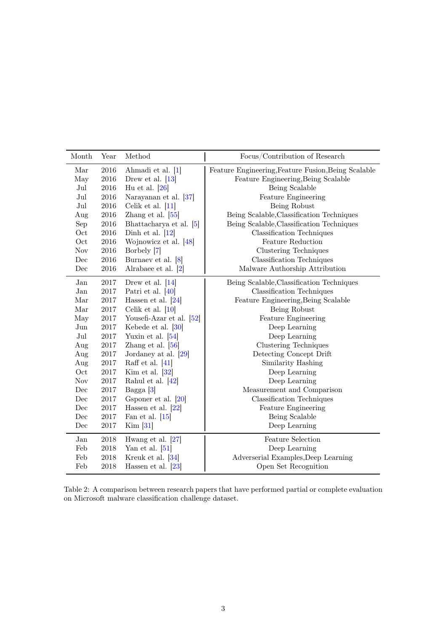| Month      | Year     | Method                     | Focus/Contribution of Research                      |
|------------|----------|----------------------------|-----------------------------------------------------|
| Mar        | $\,2016$ | Ahmadi et al. [1]          | Feature Engineering, Feature Fusion, Being Scalable |
| May        | $\,2016$ | Drew et al. $[13]$         | Feature Engineering, Being Scalable                 |
| Jul        | 2016     | Hu et al. $[26]$           | Being Scalable                                      |
| Jul        | $\,2016$ | Narayanan et al. [37]      | Feature Engineering                                 |
| Jul        | $\,2016$ | Celik et al. $[11]$        | Being Robust                                        |
| Aug        | $\,2016$ | Zhang et al. $[55]$        | Being Scalable, Classification Techniques           |
| Sep        | $\,2016$ | Bhattacharya et al. [5]    | Being Scalable, Classification Techniques           |
| Oct        | $\,2016$ | Dinh et al. $[12]$         | Classification Techniques                           |
| Oct        | 2016     | Wojnowicz et al. [48]      | <b>Feature Reduction</b>                            |
| <b>Nov</b> | 2016     | Borbely [7]                | Clustering Techniques                               |
| Dec        | $\,2016$ | Burnaev et al. [8]         | Classification Techniques                           |
| Dec        | 2016     | Alrabaee et al. $[2]$      | Malware Authorship Attribution                      |
| Jan        | 2017     | Drew et al. $[14]$         | Being Scalable, Classification Techniques           |
| Jan        | 2017     | Patri et al. $[40]$        | Classification Techniques                           |
| Mar        | $2017\,$ | Hassen et al. $[24]$       | Feature Engineering, Being Scalable                 |
| Mar        | $2017\,$ | Celik et al. $[10]$        | Being Robust                                        |
| May        | $2017\,$ | Yousefi-Azar et al. $[52]$ | Feature Engineering                                 |
| Jun        | $2017\,$ | Kebede et al. $[30]$       | Deep Learning                                       |
| Jul        | 2017     | Yuxin et al. $[54]$        | Deep Learning                                       |
| Aug        | $2017\,$ | Zhang et al. $[56]$        | Clustering Techniques                               |
| Aug        | $2017\,$ | Jordaney at al. [29]       | Detecting Concept Drift                             |
| Aug        | $2017\,$ | Raff et al. $[41]$         | Similarity Hashing                                  |
| Oct        | $2017\,$ | Kim et al. $[32]$          | Deep Learning                                       |
| <b>Nov</b> | 2017     | Rahul et al. [42]          | Deep Learning                                       |
| Dec        | 2017     | Bagga $[3]$                | Measurement and Comparison                          |
| Dec        | $2017\,$ | Gsponer et al. $[20]$      | <b>Classification Techniques</b>                    |
| Dec        | $2017\,$ | Hassen et al. $[22]$       | <b>Feature Engineering</b>                          |
| Dec        | 2017     | Fan et al. $[15]$          | Being Scalable                                      |
| Dec        | 2017     | Kim [31]                   | Deep Learning                                       |
| Jan        | 2018     | Hwang et al. [27]          | <b>Feature Selection</b>                            |
| Feb        | 2018     | Yan et al. $[51]$          | Deep Learning                                       |
| Feb        | 2018     | Kreuk et al. [34]          | Adverserial Examples, Deep Learning                 |
| Feb        | 2018     | Hassen et al. $[23]$       | Open Set Recognition                                |

<span id="page-2-0"></span>Table 2: A comparison between research papers that have performed partial or complete evaluation on Microsoft malware classification challenge dataset.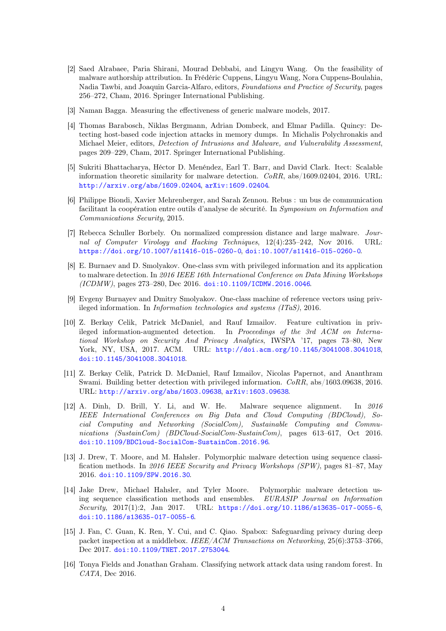- [2] Saed Alrabaee, Paria Shirani, Mourad Debbabi, and Lingyu Wang. On the feasibility of malware authorship attribution. In Frédéric Cuppens, Lingyu Wang, Nora Cuppens-Boulahia, Nadia Tawbi, and Joaquin Garcia-Alfaro, editors, Foundations and Practice of Security, pages 256–272, Cham, 2016. Springer International Publishing.
- <span id="page-3-9"></span>[3] Naman Bagga. Measuring the effectiveness of generic malware models, 2017.
- [4] Thomas Barabosch, Niklas Bergmann, Adrian Dombeck, and Elmar Padilla. Quincy: Detecting host-based code injection attacks in memory dumps. In Michalis Polychronakis and Michael Meier, editors, Detection of Intrusions and Malware, and Vulnerability Assessment, pages 209–229, Cham, 2017. Springer International Publishing.
- [5] Sukriti Bhattacharya, Héctor D. Menéndez, Earl T. Barr, and David Clark. Itect: Scalable information theoretic similarity for malware detection.  $CoRR$ , abs/1609.02404, 2016. URL: <http://arxiv.org/abs/1609.02404>, [arXiv:1609.02404](http://arxiv.org/abs/1609.02404).
- <span id="page-3-1"></span>[6] Philippe Biondi, Xavier Mehrenberger, and Sarah Zennou. Rebus : un bus de communication facilitant la coopération entre outils d'analyse de sécurité. In Symposium on Information and Communications Security, 2015.
- <span id="page-3-5"></span>[7] Rebecca Schuller Borbely. On normalized compression distance and large malware. Journal of Computer Virology and Hacking Techniques, 12(4):235–242, Nov 2016. URL: <https://doi.org/10.1007/s11416-015-0260-0>, [doi:10.1007/s11416-015-0260-0](http://dx.doi.org/10.1007/s11416-015-0260-0).
- <span id="page-3-6"></span>[8] E. Burnaev and D. Smolyakov. One-class svm with privileged information and its application to malware detection. In 2016 IEEE 16th International Conference on Data Mining Workshops (ICDMW), pages 273–280, Dec 2016. [doi:10.1109/ICDMW.2016.0046](http://dx.doi.org/10.1109/ICDMW.2016.0046).
- <span id="page-3-0"></span>[9] Evgeny Burnayev and Dmitry Smolyakov. One-class machine of reference vectors using privileged information. In Information technologies and systems (ITaS), 2016.
- <span id="page-3-8"></span>[10] Z. Berkay Celik, Patrick McDaniel, and Rauf Izmailov. Feature cultivation in privileged information-augmented detection. In Proceedings of the 3rd ACM on International Workshop on Security And Privacy Analytics, IWSPA '17, pages 73–80, New York, NY, USA, 2017. ACM. URL: <http://doi.acm.org/10.1145/3041008.3041018>, [doi:10.1145/3041008.3041018](http://dx.doi.org/10.1145/3041008.3041018).
- [11] Z. Berkay Celik, Patrick D. McDaniel, Rauf Izmailov, Nicolas Papernot, and Ananthram Swami. Building better detection with privileged information. CoRR, abs/1603.09638, 2016. URL: <http://arxiv.org/abs/1603.09638>, [arXiv:1603.09638](http://arxiv.org/abs/1603.09638).
- <span id="page-3-4"></span>[12] A. Dinh, D. Brill, Y. Li, and W. He. Malware sequence alignment. In 2016 IEEE International Conferences on Big Data and Cloud Computing (BDCloud), Social Computing and Networking (SocialCom), Sustainable Computing and Communications (SustainCom) (BDCloud-SocialCom-SustainCom), pages 613–617, Oct 2016. [doi:10.1109/BDCloud-SocialCom-SustainCom.2016.96](http://dx.doi.org/10.1109/BDCloud-SocialCom-SustainCom.2016.96).
- <span id="page-3-3"></span>[13] J. Drew, T. Moore, and M. Hahsler. Polymorphic malware detection using sequence classification methods. In 2016 IEEE Security and Privacy Workshops (SPW), pages 81–87, May 2016. [doi:10.1109/SPW.2016.30](http://dx.doi.org/10.1109/SPW.2016.30).
- <span id="page-3-7"></span>[14] Jake Drew, Michael Hahsler, and Tyler Moore. Polymorphic malware detection using sequence classification methods and ensembles. EURASIP Journal on Information Security, 2017(1):2, Jan 2017. URL: <https://doi.org/10.1186/s13635-017-0055-6>, [doi:10.1186/s13635-017-0055-6](http://dx.doi.org/10.1186/s13635-017-0055-6).
- <span id="page-3-10"></span>[15] J. Fan, C. Guan, K. Ren, Y. Cui, and C. Qiao. Spabox: Safeguarding privacy during deep packet inspection at a middlebox. IEEE/ACM Transactions on Networking, 25(6):3753–3766, Dec 2017. [doi:10.1109/TNET.2017.2753044](http://dx.doi.org/10.1109/TNET.2017.2753044).
- <span id="page-3-2"></span>[16] Tonya Fields and Jonathan Graham. Classifying network attack data using random forest. In CATA, Dec 2016.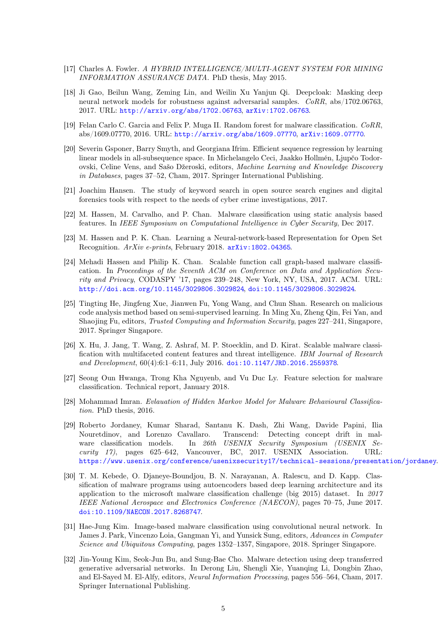- <span id="page-4-2"></span>[17] Charles A. Fowler. A HYBRID INTELLIGENCE/MULTI-AGENT SYSTEM FOR MINING INFORMATION ASSURANCE DATA. PhD thesis, May 2015.
- [18] Ji Gao, Beilun Wang, Zeming Lin, and Weilin Xu Yanjun Qi. Deepcloak: Masking deep neural network models for robustness against adversarial samples. CoRR, abs/1702.06763, 2017. URL: <http://arxiv.org/abs/1702.06763>, [arXiv:1702.06763](http://arxiv.org/abs/1702.06763).
- [19] Felan Carlo C. Garcia and Felix P. Muga II. Random forest for malware classification. CoRR, abs/1609.07770, 2016. URL: <http://arxiv.org/abs/1609.07770>, [arXiv:1609.07770](http://arxiv.org/abs/1609.07770).
- [20] Severin Gsponer, Barry Smyth, and Georgiana Ifrim. Efficient sequence regression by learning linear models in all-subsequence space. In Michelangelo Ceci, Jaakko Hollmén, Ljupčo Todorovski, Celine Vens, and Sašo Džeroski, editors, Machine Learning and Knowledge Discovery in Databases, pages 37–52, Cham, 2017. Springer International Publishing.
- <span id="page-4-8"></span><span id="page-4-1"></span>[21] Joachim Hansen. The study of keyword search in open source search engines and digital forensics tools with respect to the needs of cyber crime investigations, 2017.
- [22] M. Hassen, M. Carvalho, and P. Chan. Malware classification using static analysis based features. In IEEE Symposium on Computational Intelligence in Cyber Security, Dec 2017.
- <span id="page-4-10"></span>[23] M. Hassen and P. K. Chan. Learning a Neural-network-based Representation for Open Set Recognition. ArXiv e-prints, February 2018. [arXiv:1802.04365](http://arxiv.org/abs/1802.04365).
- <span id="page-4-4"></span>[24] Mehadi Hassen and Philip K. Chan. Scalable function call graph-based malware classification. In Proceedings of the Seventh ACM on Conference on Data and Application Security and Privacy, CODASPY '17, pages 239–248, New York, NY, USA, 2017. ACM. URL: <http://doi.acm.org/10.1145/3029806.3029824>, [doi:10.1145/3029806.3029824](http://dx.doi.org/10.1145/3029806.3029824).
- [25] Tingting He, Jingfeng Xue, Jianwen Fu, Yong Wang, and Chun Shan. Research on malicious code analysis method based on semi-supervised learning. In Ming Xu, Zheng Qin, Fei Yan, and Shaojing Fu, editors, Trusted Computing and Information Security, pages 227–241, Singapore, 2017. Springer Singapore.
- <span id="page-4-3"></span>[26] X. Hu, J. Jang, T. Wang, Z. Ashraf, M. P. Stoecklin, and D. Kirat. Scalable malware classification with multifaceted content features and threat intelligence. IBM Journal of Research and Development, 60(4):6:1–6:11, July 2016. [doi:10.1147/JRD.2016.2559378](http://dx.doi.org/10.1147/JRD.2016.2559378).
- <span id="page-4-9"></span>[27] Seong Oun Hwanga, Trong Kha Nguyenb, and Vu Duc Ly. Feature selection for malware classification. Technical report, January 2018.
- <span id="page-4-0"></span>[28] Mohammad Imran. Evlauation of Hidden Markov Model for Malware Behavioural Classification. PhD thesis, 2016.
- <span id="page-4-6"></span>[29] Roberto Jordaney, Kumar Sharad, Santanu K. Dash, Zhi Wang, Davide Papini, Ilia Nouretdinov, and Lorenzo Cavallaro. Transcend: Detecting concept drift in malware classification models. In 26th USENIX Security Symposium (USENIX Security 17), pages 625–642, Vancouver, BC, 2017. USENIX Association. URL: <https://www.usenix.org/conference/usenixsecurity17/technical-sessions/presentation/jordaney>.
- <span id="page-4-5"></span>[30] T. M. Kebede, O. Djaneye-Boundjou, B. N. Narayanan, A. Ralescu, and D. Kapp. Classification of malware programs using autoencoders based deep learning architecture and its application to the microsoft malware classification challenge (big 2015) dataset. In 2017 IEEE National Aerospace and Electronics Conference (NAECON), pages 70–75, June 2017. [doi:10.1109/NAECON.2017.8268747](http://dx.doi.org/10.1109/NAECON.2017.8268747).
- [31] Hae-Jung Kim. Image-based malware classification using convolutional neural network. In James J. Park, Vincenzo Loia, Gangman Yi, and Yunsick Sung, editors, Advances in Computer Science and Ubiquitous Computing, pages 1352–1357, Singapore, 2018. Springer Singapore.
- <span id="page-4-7"></span>[32] Jin-Young Kim, Seok-Jun Bu, and Sung-Bae Cho. Malware detection using deep transferred generative adversarial networks. In Derong Liu, Shengli Xie, Yuanqing Li, Dongbin Zhao, and El-Sayed M. El-Alfy, editors, Neural Information Processing, pages 556–564, Cham, 2017. Springer International Publishing.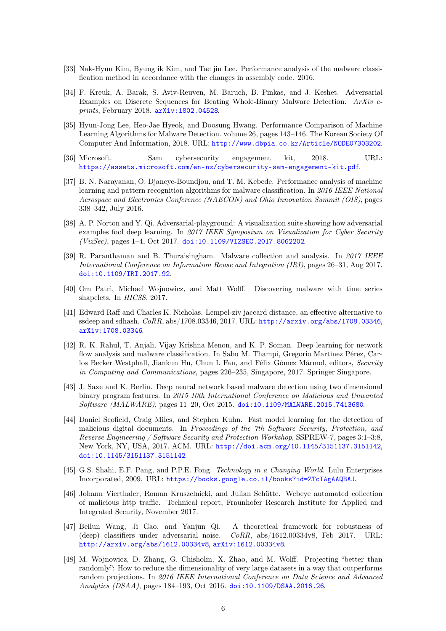- <span id="page-5-12"></span><span id="page-5-2"></span>[33] Nak-Hyun Kim, Byung ik Kim, and Tae jin Lee. Performance analysis of the malware classification method in accordance with the changes in assembly code. 2016.
- [34] F. Kreuk, A. Barak, S. Aviv-Reuven, M. Baruch, B. Pinkas, and J. Keshet. Adversarial Examples on Discrete Sequences for Beating Whole-Binary Malware Detection. ArXiv eprints, February 2018. [arXiv:1802.04528](http://arxiv.org/abs/1802.04528).
- <span id="page-5-3"></span>[35] Hyun-Jong Lee, Heo-Jae Hyeok, and Doosung Hwang. Performance Comparison of Machine Learning Algorithms for Malware Detection. volume 26, pages 143–146. The Korean Society Of Computer And Information, 2018. URL: <http://www.dbpia.co.kr/Article/NODE07303202>.
- <span id="page-5-1"></span>[36] Microsoft. Sam cybersecurity engagement kit, 2018. URL: <https://assets.microsoft.com/en-nz/cybersecurity-sam-engagement-kit.pdf>.
- <span id="page-5-9"></span>[37] B. N. Narayanan, O. Djaneye-Boundjou, and T. M. Kebede. Performance analysis of machine learning and pattern recognition algorithms for malware classification. In 2016 IEEE National Aerospace and Electronics Conference (NAECON) and Ohio Innovation Summit (OIS), pages 338–342, July 2016.
- <span id="page-5-5"></span>[38] A. P. Norton and Y. Qi. Adversarial-playground: A visualization suite showing how adversarial examples fool deep learning. In 2017 IEEE Symposium on Visualization for Cyber Security (VizSec), pages 1–4, Oct 2017. [doi:10.1109/VIZSEC.2017.8062202](http://dx.doi.org/10.1109/VIZSEC.2017.8062202).
- <span id="page-5-8"></span>[39] R. Paranthaman and B. Thuraisingham. Malware collection and analysis. In 2017 IEEE International Conference on Information Reuse and Integration (IRI), pages 26–31, Aug 2017. [doi:10.1109/IRI.2017.92](http://dx.doi.org/10.1109/IRI.2017.92).
- <span id="page-5-11"></span>[40] Om Patri, Michael Wojnowicz, and Matt Wolff. Discovering malware with time series shapelets. In HICSS, 2017.
- [41] Edward Raff and Charles K. Nicholas. Lempel-ziv jaccard distance, an effective alternative to ssdeep and sdhash. CoRR, abs/1708.03346, 2017. URL: <http://arxiv.org/abs/1708.03346>, [arXiv:1708.03346](http://arxiv.org/abs/1708.03346).
- [42] R. K. Rahul, T. Anjali, Vijay Krishna Menon, and K. P. Soman. Deep learning for network flow analysis and malware classification. In Sabu M. Thampi, Gregorio Martínez Pérez, Carlos Becker Westphall, Jiankun Hu, Chun I. Fan, and Félix Gómez Mármol, editors, Security in Computing and Communications, pages 226–235, Singapore, 2017. Springer Singapore.
- <span id="page-5-4"></span>[43] J. Saxe and K. Berlin. Deep neural network based malware detection using two dimensional binary program features. In 2015 10th International Conference on Malicious and Unwanted Software (MALWARE), pages 11–20, Oct 2015. [doi:10.1109/MALWARE.2015.7413680](http://dx.doi.org/10.1109/MALWARE.2015.7413680).
- <span id="page-5-6"></span>[44] Daniel Scofield, Craig Miles, and Stephen Kuhn. Fast model learning for the detection of malicious digital documents. In Proceedings of the 7th Software Security, Protection, and Reverse Engineering / Software Security and Protection Workshop, SSPREW-7, pages 3:1–3:8, New York, NY, USA, 2017. ACM. URL: <http://doi.acm.org/10.1145/3151137.3151142>, [doi:10.1145/3151137.3151142](http://dx.doi.org/10.1145/3151137.3151142).
- <span id="page-5-0"></span>[45] G.S. Shahi, E.F. Pang, and P.P.E. Fong. Technology in a Changing World. Lulu Enterprises Incorporated, 2009. URL: <https://books.google.co.il/books?id=ZTcIAgAAQBAJ>.
- <span id="page-5-7"></span>[46] Johann Vierthaler, Roman Kruszelnicki, and Julian Schütte. Webeye automated collection of malicious http traffic. Technical report, Fraunhofer Research Institute for Applied and Integrated Security, November 2017.
- [47] Beilun Wang, Ji Gao, and Yanjun Qi. A theoretical framework for robustness of (deep) classifiers under adversarial noise.  $CoRR$ , abs/1612.00334v8, Feb 2017. URL: <http://arxiv.org/abs/1612.00334v8>, [arXiv:1612.00334v8](http://arxiv.org/abs/1612.00334v8).
- <span id="page-5-10"></span>[48] M. Wojnowicz, D. Zhang, G. Chisholm, X. Zhao, and M. Wolff. Projecting "better than randomly": How to reduce the dimensionality of very large datasets in a way that outperforms random projections. In 2016 IEEE International Conference on Data Science and Advanced Analytics (DSAA), pages 184–193, Oct 2016. [doi:10.1109/DSAA.2016.26](http://dx.doi.org/10.1109/DSAA.2016.26).